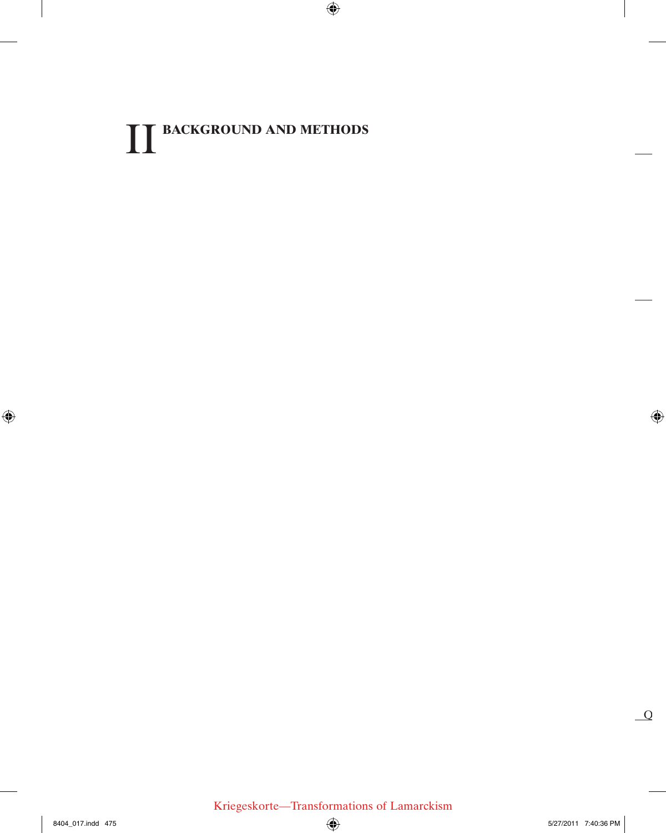II **Background and Methods**

 $\bigoplus$ 

 $\bigoplus$ 

 $Q$ 

 $\bigoplus$ 

I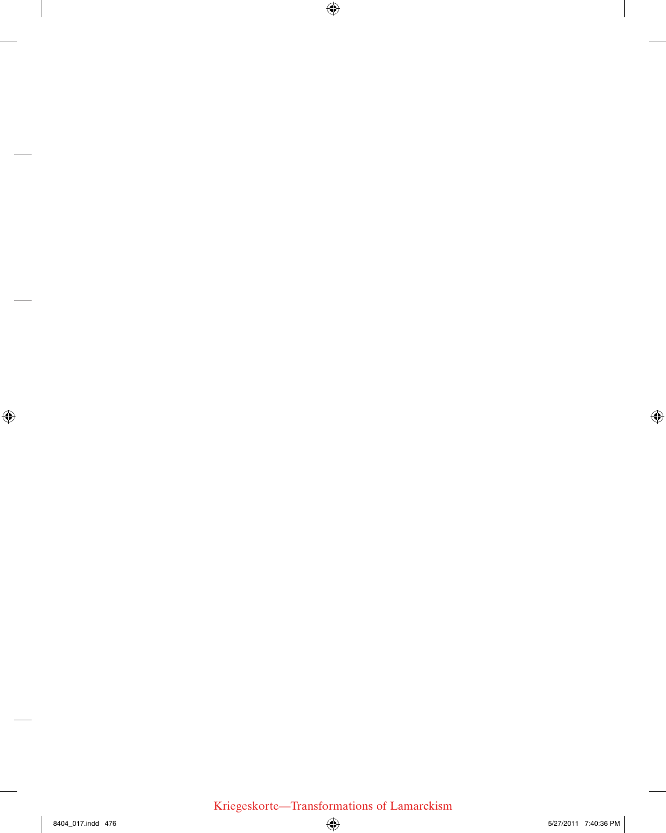

 $\mathbf{I}$ 

 $\bigoplus$ 

 $\bigoplus$ 

 $\overline{1}$ 

 $\bigoplus$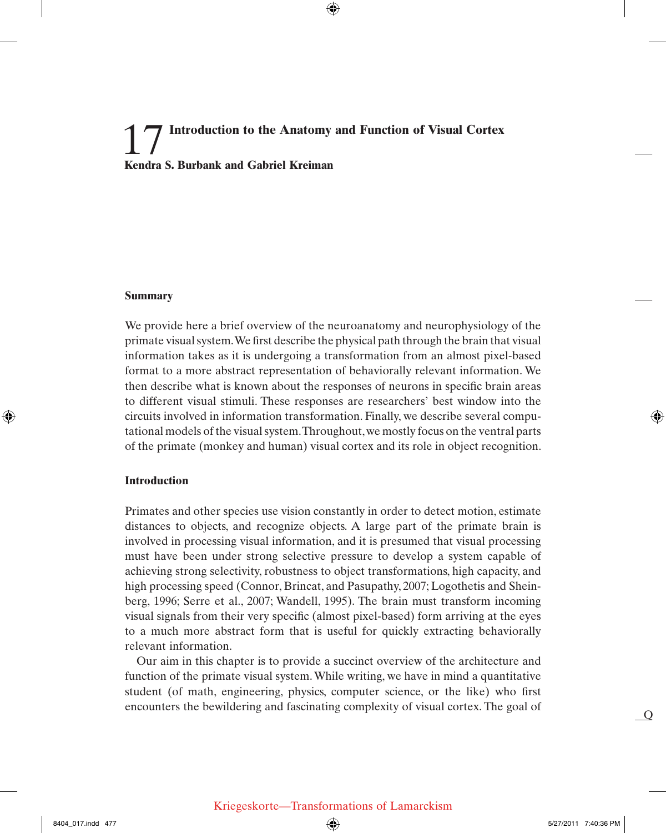# **Introduction to the Anatomy and Function of Visual Cortex Kendra S. Burbank and Gabriel Kreiman** 17

 $\textcircled{\scriptsize{+}}$ 

#### **Summary**

We provide here a brief overview of the neuroanatomy and neurophysiology of the primate visual system. We first describe the physical path through the brain that visual information takes as it is undergoing a transformation from an almost pixel-based format to a more abstract representation of behaviorally relevant information. We then describe what is known about the responses of neurons in specific brain areas to different visual stimuli. These responses are researchers' best window into the circuits involved in information transformation. Finally, we describe several computational models of the visual system. Throughout, we mostly focus on the ventral parts of the primate (monkey and human) visual cortex and its role in object recognition.

## **Introduction**

⊕

Primates and other species use vision constantly in order to detect motion, estimate distances to objects, and recognize objects. A large part of the primate brain is involved in processing visual information, and it is presumed that visual processing must have been under strong selective pressure to develop a system capable of achieving strong selectivity, robustness to object transformations, high capacity, and high processing speed (Connor, Brincat, and Pasupathy, 2007; Logothetis and Sheinberg, 1996; Serre et al., 2007; Wandell, 1995). The brain must transform incoming visual signals from their very specific (almost pixel-based) form arriving at the eyes to a much more abstract form that is useful for quickly extracting behaviorally relevant information.

Our aim in this chapter is to provide a succinct overview of the architecture and function of the primate visual system. While writing, we have in mind a quantitative student (of math, engineering, physics, computer science, or the like) who first encounters the bewildering and fascinating complexity of visual cortex. The goal of

 $\overline{\mathsf{Q}}$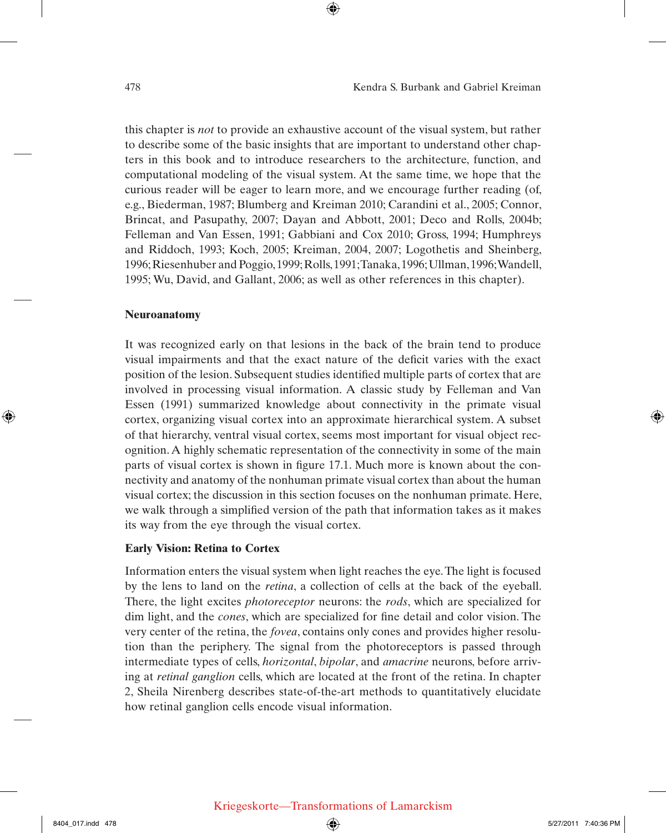this chapter is *not* to provide an exhaustive account of the visual system, but rather to describe some of the basic insights that are important to understand other chapters in this book and to introduce researchers to the architecture, function, and computational modeling of the visual system. At the same time, we hope that the curious reader will be eager to learn more, and we encourage further reading (of, e.g., Biederman, 1987; Blumberg and Kreiman 2010; Carandini et al., 2005; Connor, Brincat, and Pasupathy, 2007; Dayan and Abbott, 2001; Deco and Rolls, 2004b; Felleman and Van Essen, 1991; Gabbiani and Cox 2010; Gross, 1994; Humphreys and Riddoch, 1993; Koch, 2005; Kreiman, 2004, 2007; Logothetis and Sheinberg, 1996; Riesenhuber and Poggio, 1999; Rolls, 1991; Tanaka, 1996; Ullman, 1996; Wandell, 1995; Wu, David, and Gallant, 2006; as well as other references in this chapter).

 $\textcircled{\scriptsize{+}}$ 

#### **Neuroanatomy**

It was recognized early on that lesions in the back of the brain tend to produce visual impairments and that the exact nature of the deficit varies with the exact position of the lesion. Subsequent studies identified multiple parts of cortex that are involved in processing visual information. A classic study by Felleman and Van Essen (1991) summarized knowledge about connectivity in the primate visual cortex, organizing visual cortex into an approximate hierarchical system. A subset of that hierarchy, ventral visual cortex, seems most important for visual object recognition. A highly schematic representation of the connectivity in some of the main parts of visual cortex is shown in figure 17.1. Much more is known about the connectivity and anatomy of the nonhuman primate visual cortex than about the human visual cortex; the discussion in this section focuses on the nonhuman primate. Here, we walk through a simplified version of the path that information takes as it makes its way from the eye through the visual cortex.

#### **Early Vision: Retina to Cortex**

Information enters the visual system when light reaches the eye. The light is focused by the lens to land on the *retina*, a collection of cells at the back of the eyeball. There, the light excites *photoreceptor* neurons: the *rods*, which are specialized for dim light, and the *cones*, which are specialized for fine detail and color vision. The very center of the retina, the *fovea*, contains only cones and provides higher resolution than the periphery. The signal from the photoreceptors is passed through intermediate types of cells, *horizontal*, *bipolar*, and *amacrine* neurons, before arriving at *retinal ganglion* cells, which are located at the front of the retina. In chapter 2, Sheila Nirenberg describes state-of-the-art methods to quantitatively elucidate how retinal ganglion cells encode visual information.

⊕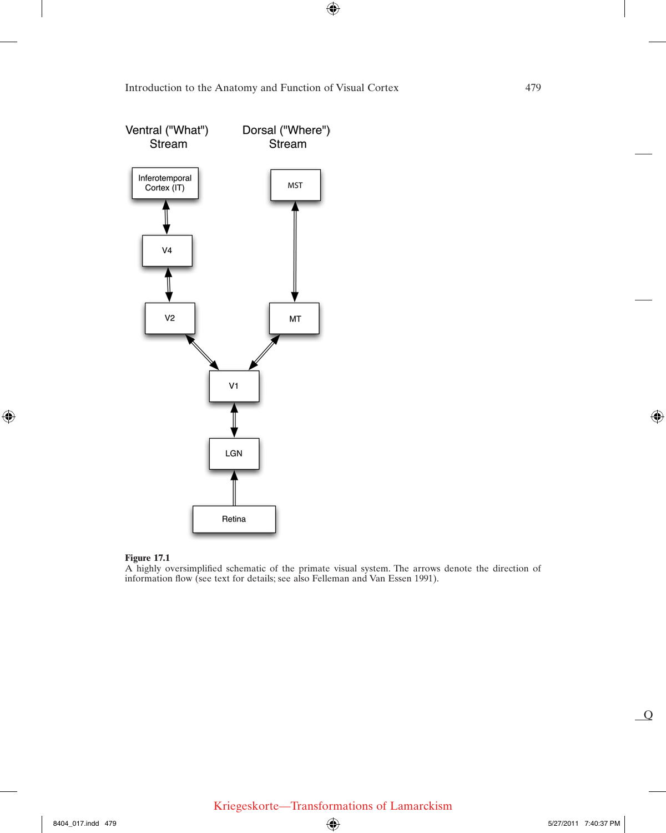

 $\bigoplus$ 



#### **Figure 17.1**

A highly oversimplified schematic of the primate visual system. The arrows denote the direction of information flow (see text for details; see also Felleman and Van Essen 1991).

 $\bigoplus$ 

 $\overline{\mathbf{Q}}$ 

 $\bigoplus$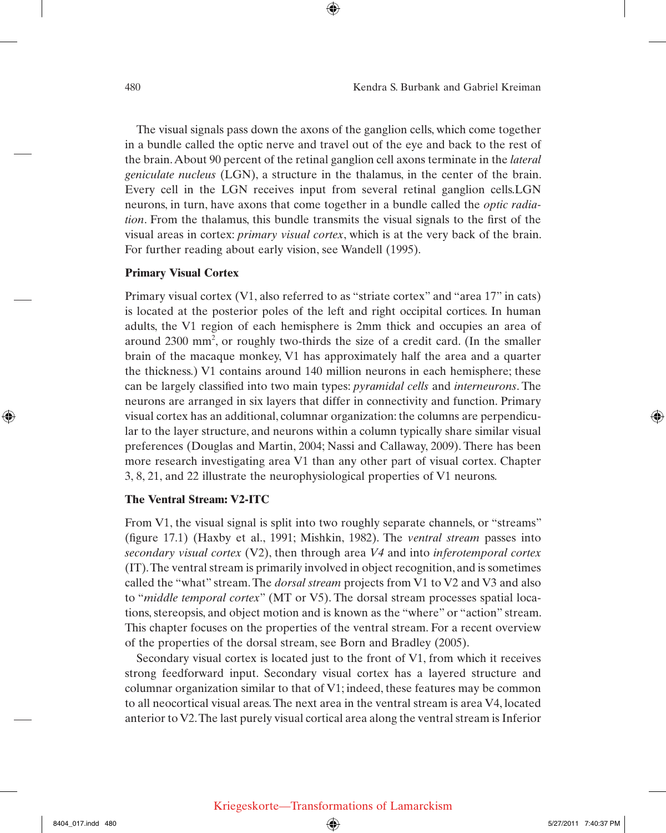The visual signals pass down the axons of the ganglion cells, which come together in a bundle called the optic nerve and travel out of the eye and back to the rest of the brain. About 90 percent of the retinal ganglion cell axons terminate in the *lateral geniculate nucleus* (LGN), a structure in the thalamus, in the center of the brain. Every cell in the LGN receives input from several retinal ganglion cells.LGN neurons, in turn, have axons that come together in a bundle called the *optic radiation*. From the thalamus, this bundle transmits the visual signals to the first of the visual areas in cortex: *primary visual cortex*, which is at the very back of the brain. For further reading about early vision, see Wandell (1995).

 $\textcircled{\scriptsize{+}}$ 

### **Primary Visual Cortex**

Primary visual cortex (V1, also referred to as "striate cortex" and "area 17" in cats) is located at the posterior poles of the left and right occipital cortices. In human adults, the V1 region of each hemisphere is 2mm thick and occupies an area of around 2300 mm<sup>2</sup>, or roughly two-thirds the size of a credit card. (In the smaller brain of the macaque monkey, V1 has approximately half the area and a quarter the thickness.) V1 contains around 140 million neurons in each hemisphere; these can be largely classified into two main types: *pyramidal cells* and *interneurons*. The neurons are arranged in six layers that differ in connectivity and function. Primary visual cortex has an additional, columnar organization: the columns are perpendicular to the layer structure, and neurons within a column typically share similar visual preferences (Douglas and Martin, 2004; Nassi and Callaway, 2009). There has been more research investigating area V1 than any other part of visual cortex. Chapter 3, 8, 21, and 22 illustrate the neurophysiological properties of V1 neurons.

## **The Ventral Stream: V2-ITC**

From V1, the visual signal is split into two roughly separate channels, or "streams" (figure 17.1) (Haxby et al., 1991; Mishkin, 1982). The *ventral stream* passes into *secondary visual cortex* (V2), then through area *V4* and into *inferotemporal cortex* (IT). The ventral stream is primarily involved in object recognition, and is sometimes called the "what" stream. The *dorsal stream* projects from V1 to V2 and V3 and also to "*middle temporal cortex*" (MT or V5). The dorsal stream processes spatial locations, stereopsis, and object motion and is known as the "where" or "action" stream. This chapter focuses on the properties of the ventral stream. For a recent overview of the properties of the dorsal stream, see Born and Bradley (2005).

Secondary visual cortex is located just to the front of V1, from which it receives strong feedforward input. Secondary visual cortex has a layered structure and columnar organization similar to that of V1; indeed, these features may be common to all neocortical visual areas. The next area in the ventral stream is area V4, located anterior to V2. The last purely visual cortical area along the ventral stream is Inferior

⊕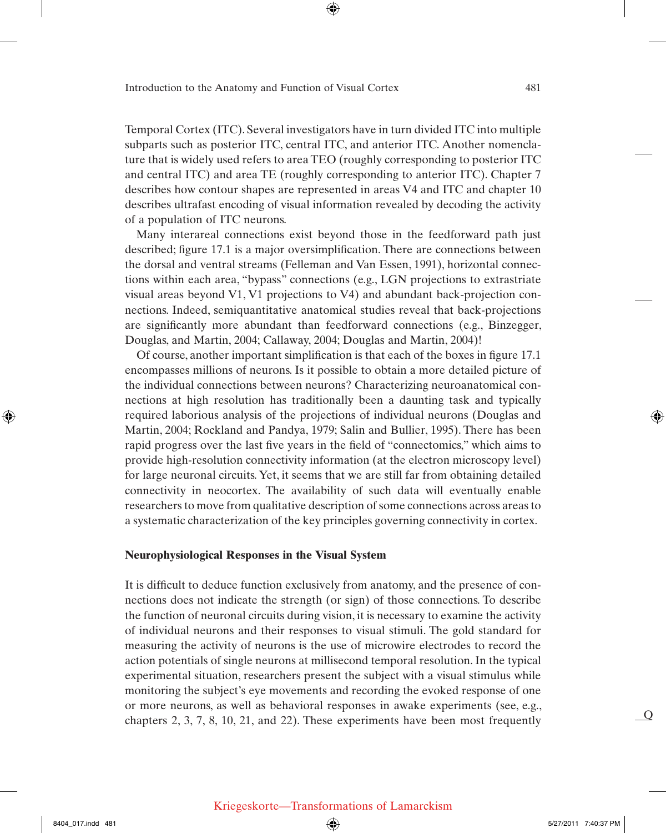Temporal Cortex (ITC). Several investigators have in turn divided ITC into multiple subparts such as posterior ITC, central ITC, and anterior ITC. Another nomenclature that is widely used refers to area TEO (roughly corresponding to posterior ITC and central ITC) and area TE (roughly corresponding to anterior ITC). Chapter 7 describes how contour shapes are represented in areas V4 and ITC and chapter 10 describes ultrafast encoding of visual information revealed by decoding the activity of a population of ITC neurons.

 $\textcircled{\scriptsize{+}}$ 

Many interareal connections exist beyond those in the feedforward path just described; figure 17.1 is a major oversimplification. There are connections between the dorsal and ventral streams (Felleman and Van Essen, 1991), horizontal connections within each area, "bypass" connections (e.g., LGN projections to extrastriate visual areas beyond V1, V1 projections to V4) and abundant back-projection connections. Indeed, semiquantitative anatomical studies reveal that back-projections are significantly more abundant than feedforward connections (e.g., Binzegger, Douglas, and Martin, 2004; Callaway, 2004; Douglas and Martin, 2004)!

Of course, another important simplification is that each of the boxes in figure 17.1 encompasses millions of neurons. Is it possible to obtain a more detailed picture of the individual connections between neurons? Characterizing neuroanatomical connections at high resolution has traditionally been a daunting task and typically required laborious analysis of the projections of individual neurons (Douglas and Martin, 2004; Rockland and Pandya, 1979; Salin and Bullier, 1995). There has been rapid progress over the last five years in the field of "connectomics," which aims to provide high-resolution connectivity information (at the electron microscopy level) for large neuronal circuits. Yet, it seems that we are still far from obtaining detailed connectivity in neocortex. The availability of such data will eventually enable researchers to move from qualitative description of some connections across areas to a systematic characterization of the key principles governing connectivity in cortex.

#### **Neurophysiological Responses in the Visual System**

It is difficult to deduce function exclusively from anatomy, and the presence of connections does not indicate the strength (or sign) of those connections. To describe the function of neuronal circuits during vision, it is necessary to examine the activity of individual neurons and their responses to visual stimuli. The gold standard for measuring the activity of neurons is the use of microwire electrodes to record the action potentials of single neurons at millisecond temporal resolution. In the typical experimental situation, researchers present the subject with a visual stimulus while monitoring the subject's eye movements and recording the evoked response of one or more neurons, as well as behavioral responses in awake experiments (see, e.g., chapters 2, 3, 7, 8, 10, 21, and 22). These experiments have been most frequently

⊕

 $\overline{\mathsf{Q}}$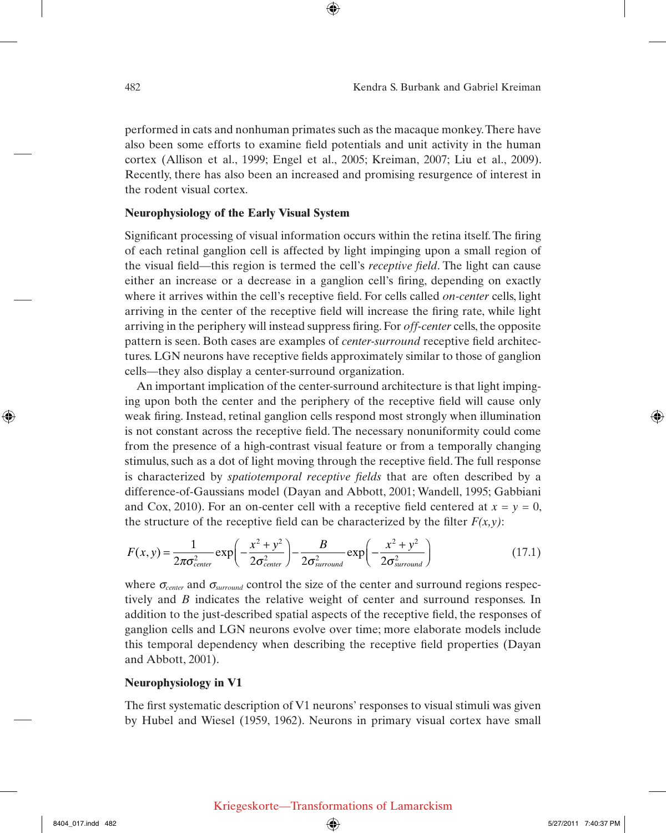performed in cats and nonhuman primates such as the macaque monkey. There have also been some efforts to examine field potentials and unit activity in the human cortex (Allison et al., 1999; Engel et al., 2005; Kreiman, 2007; Liu et al., 2009). Recently, there has also been an increased and promising resurgence of interest in the rodent visual cortex.

 $\bigoplus$ 

## **Neurophysiology of the Early Visual System**

Significant processing of visual information occurs within the retina itself. The firing of each retinal ganglion cell is affected by light impinging upon a small region of the visual field—this region is termed the cell's *receptive field*. The light can cause either an increase or a decrease in a ganglion cell's firing, depending on exactly where it arrives within the cell's receptive field. For cells called *on-center* cells, light arriving in the center of the receptive field will increase the firing rate, while light arriving in the periphery will instead suppress firing. For *off-center* cells, the opposite pattern is seen. Both cases are examples of *center-surround* receptive field architectures. LGN neurons have receptive fields approximately similar to those of ganglion cells—they also display a center-surround organization.

An important implication of the center-surround architecture is that light impinging upon both the center and the periphery of the receptive field will cause only weak firing. Instead, retinal ganglion cells respond most strongly when illumination is not constant across the receptive field. The necessary nonuniformity could come from the presence of a high-contrast visual feature or from a temporally changing stimulus, such as a dot of light moving through the receptive field. The full response is characterized by *spatiotemporal receptive fields* that are often described by a difference-of-Gaussians model (Dayan and Abbott, 2001; Wandell, 1995; Gabbiani and Cox, 2010). For an on-center cell with a receptive field centered at  $x = y = 0$ , the structure of the receptive field can be characterized by the filter  $F(x,y)$ :

$$
F(x, y) = \frac{1}{2\pi\sigma_{center}^2} \exp\left(-\frac{x^2 + y^2}{2\sigma_{center}^2}\right) - \frac{B}{2\sigma_{surround}^2} \exp\left(-\frac{x^2 + y^2}{2\sigma_{surround}^2}\right)
$$
(17.1)

where  $\sigma_{center}$  and  $\sigma_{surround}$  control the size of the center and surround regions respectively and *B* indicates the relative weight of center and surround responses. In addition to the just-described spatial aspects of the receptive field, the responses of ganglion cells and LGN neurons evolve over time; more elaborate models include this temporal dependency when describing the receptive field properties (Dayan and Abbott, 2001).

#### **Neurophysiology in V1**

The first systematic description of V1 neurons' responses to visual stimuli was given by Hubel and Wiesel (1959, 1962). Neurons in primary visual cortex have small

⊕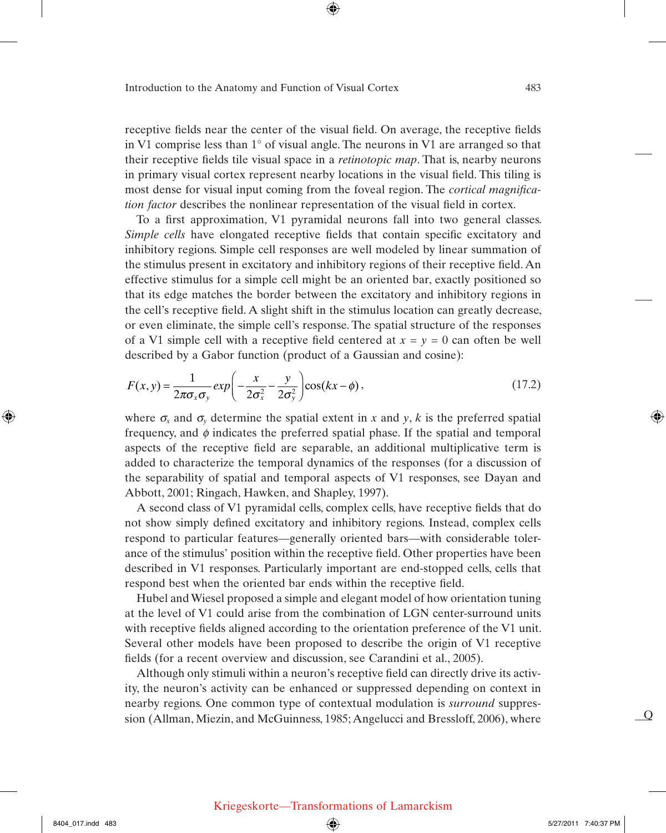receptive fields near the center of the visual field. On average, the receptive fields in V1 comprise less than 1° of visual angle. The neurons in V1 are arranged so that their receptive fields tile visual space in a *retinotopic map*. That is, nearby neurons in primary visual cortex represent nearby locations in the visual field. This tiling is most dense for visual input coming from the foveal region. The *cortical magnification factor* describes the nonlinear representation of the visual field in cortex.

 $\textcircled{\scriptsize{+}}$ 

To a first approximation, V1 pyramidal neurons fall into two general classes. *Simple cells* have elongated receptive fields that contain specific excitatory and inhibitory regions. Simple cell responses are well modeled by linear summation of the stimulus present in excitatory and inhibitory regions of their receptive field. An effective stimulus for a simple cell might be an oriented bar, exactly positioned so that its edge matches the border between the excitatory and inhibitory regions in the cell's receptive field. A slight shift in the stimulus location can greatly decrease, or even eliminate, the simple cell's response. The spatial structure of the responses of a V1 simple cell with a receptive field centered at  $x = y = 0$  can often be well described by a Gabor function (product of a Gaussian and cosine):

$$
F(x, y) = \frac{1}{2\pi\sigma_x\sigma_y} \exp\left(-\frac{x}{2\sigma_x^2} - \frac{y}{2\sigma_y^2}\right) \cos(kx - \phi),
$$
\n(17.2)

where  $\sigma_x$  and  $\sigma_y$  determine the spatial extent in *x* and *y*, *k* is the preferred spatial frequency, and *ϕ* indicates the preferred spatial phase. If the spatial and temporal aspects of the receptive field are separable, an additional multiplicative term is added to characterize the temporal dynamics of the responses (for a discussion of the separability of spatial and temporal aspects of V1 responses, see Dayan and Abbott, 2001; Ringach, Hawken, and Shapley, 1997).

A second class of V1 pyramidal cells, complex cells, have receptive fields that do not show simply defined excitatory and inhibitory regions. Instead, complex cells respond to particular features—generally oriented bars—with considerable tolerance of the stimulus' position within the receptive field. Other properties have been described in V1 responses. Particularly important are end-stopped cells, cells that respond best when the oriented bar ends within the receptive field.

Hubel and Wiesel proposed a simple and elegant model of how orientation tuning at the level of V1 could arise from the combination of LGN center-surround units with receptive fields aligned according to the orientation preference of the V1 unit. Several other models have been proposed to describe the origin of V1 receptive fields (for a recent overview and discussion, see Carandini et al., 2005).

Although only stimuli within a neuron's receptive field can directly drive its activity, the neuron's activity can be enhanced or suppressed depending on context in nearby regions. One common type of contextual modulation is *surround* suppression (Allman, Miezin, and McGuinness, 1985; Angelucci and Bressloff, 2006), where

⊕

 $\overline{\mathsf{Q}}$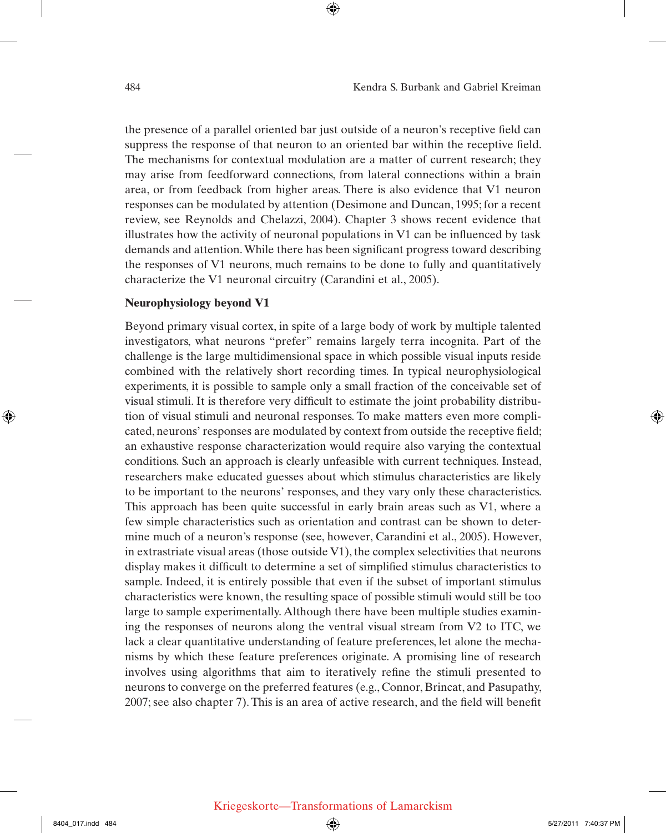the presence of a parallel oriented bar just outside of a neuron's receptive field can suppress the response of that neuron to an oriented bar within the receptive field. The mechanisms for contextual modulation are a matter of current research; they may arise from feedforward connections, from lateral connections within a brain area, or from feedback from higher areas. There is also evidence that V1 neuron responses can be modulated by attention (Desimone and Duncan, 1995; for a recent review, see Reynolds and Chelazzi, 2004). Chapter 3 shows recent evidence that illustrates how the activity of neuronal populations in V1 can be influenced by task demands and attention. While there has been significant progress toward describing the responses of V1 neurons, much remains to be done to fully and quantitatively characterize the V1 neuronal circuitry (Carandini et al., 2005).

 $\textcircled{\scriptsize{+}}$ 

## **Neurophysiology beyond V1**

Beyond primary visual cortex, in spite of a large body of work by multiple talented investigators, what neurons "prefer" remains largely terra incognita. Part of the challenge is the large multidimensional space in which possible visual inputs reside combined with the relatively short recording times. In typical neurophysiological experiments, it is possible to sample only a small fraction of the conceivable set of visual stimuli. It is therefore very difficult to estimate the joint probability distribution of visual stimuli and neuronal responses. To make matters even more complicated, neurons' responses are modulated by context from outside the receptive field; an exhaustive response characterization would require also varying the contextual conditions. Such an approach is clearly unfeasible with current techniques. Instead, researchers make educated guesses about which stimulus characteristics are likely to be important to the neurons' responses, and they vary only these characteristics. This approach has been quite successful in early brain areas such as V1, where a few simple characteristics such as orientation and contrast can be shown to determine much of a neuron's response (see, however, Carandini et al., 2005). However, in extrastriate visual areas (those outside  $V1$ ), the complex selectivities that neurons display makes it difficult to determine a set of simplified stimulus characteristics to sample. Indeed, it is entirely possible that even if the subset of important stimulus characteristics were known, the resulting space of possible stimuli would still be too large to sample experimentally. Although there have been multiple studies examining the responses of neurons along the ventral visual stream from V2 to ITC, we lack a clear quantitative understanding of feature preferences, let alone the mechanisms by which these feature preferences originate. A promising line of research involves using algorithms that aim to iteratively refine the stimuli presented to neurons to converge on the preferred features (e.g., Connor, Brincat, and Pasupathy, 2007; see also chapter 7). This is an area of active research, and the field will benefit

⊕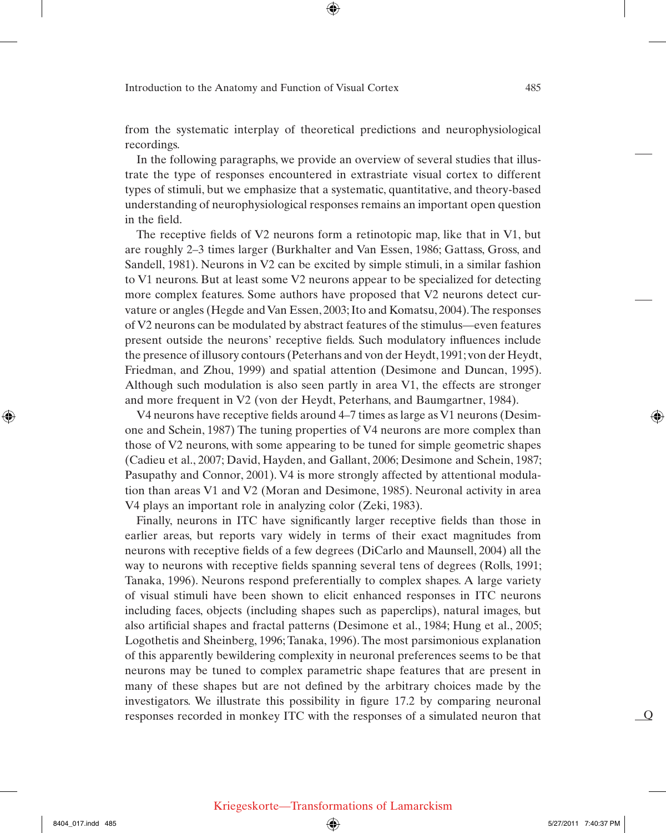from the systematic interplay of theoretical predictions and neurophysiological recordings.

 $\textcircled{\scriptsize{+}}$ 

In the following paragraphs, we provide an overview of several studies that illustrate the type of responses encountered in extrastriate visual cortex to different types of stimuli, but we emphasize that a systematic, quantitative, and theory-based understanding of neurophysiological responses remains an important open question in the field.

The receptive fields of V2 neurons form a retinotopic map, like that in V1, but are roughly 2–3 times larger (Burkhalter and Van Essen, 1986; Gattass, Gross, and Sandell, 1981). Neurons in V2 can be excited by simple stimuli, in a similar fashion to V1 neurons. But at least some V2 neurons appear to be specialized for detecting more complex features. Some authors have proposed that V2 neurons detect curvature or angles (Hegde and Van Essen, 2003; Ito and Komatsu, 2004). The responses of V2 neurons can be modulated by abstract features of the stimulus—even features present outside the neurons' receptive fields. Such modulatory influences include the presence of illusory contours (Peterhans and von der Heydt, 1991; von der Heydt, Friedman, and Zhou, 1999) and spatial attention (Desimone and Duncan, 1995). Although such modulation is also seen partly in area V1, the effects are stronger and more frequent in V2 (von der Heydt, Peterhans, and Baumgartner, 1984).

V4 neurons have receptive fields around 4–7 times as large as V1 neurons (Desimone and Schein, 1987) The tuning properties of V4 neurons are more complex than those of V2 neurons, with some appearing to be tuned for simple geometric shapes (Cadieu et al., 2007; David, Hayden, and Gallant, 2006; Desimone and Schein, 1987; Pasupathy and Connor, 2001). V4 is more strongly affected by attentional modulation than areas V1 and V2 (Moran and Desimone, 1985). Neuronal activity in area V4 plays an important role in analyzing color (Zeki, 1983).

Finally, neurons in ITC have significantly larger receptive fields than those in earlier areas, but reports vary widely in terms of their exact magnitudes from neurons with receptive fields of a few degrees (DiCarlo and Maunsell, 2004) all the way to neurons with receptive fields spanning several tens of degrees (Rolls, 1991; Tanaka, 1996). Neurons respond preferentially to complex shapes. A large variety of visual stimuli have been shown to elicit enhanced responses in ITC neurons including faces, objects (including shapes such as paperclips), natural images, but also artificial shapes and fractal patterns (Desimone et al., 1984; Hung et al., 2005; Logothetis and Sheinberg, 1996; Tanaka, 1996). The most parsimonious explanation of this apparently bewildering complexity in neuronal preferences seems to be that neurons may be tuned to complex parametric shape features that are present in many of these shapes but are not defined by the arbitrary choices made by the investigators. We illustrate this possibility in figure 17.2 by comparing neuronal responses recorded in monkey ITC with the responses of a simulated neuron that

⊕

 $\overline{\mathsf{Q}}$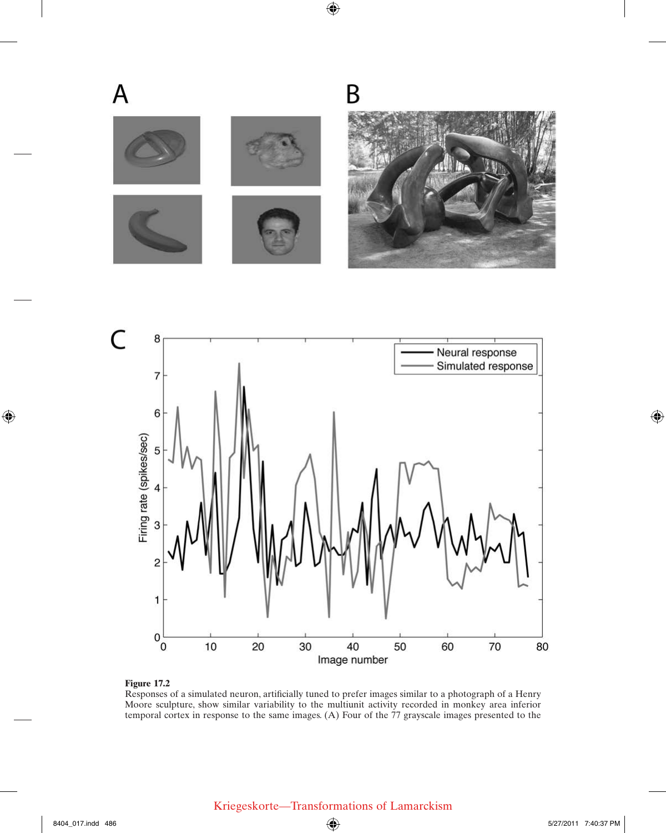

 $\bigoplus$ 



#### **Figure 17.2**

Responses of a simulated neuron, artificially tuned to prefer images similar to a photograph of a Henry Moore sculpture, show similar variability to the multiunit activity recorded in monkey area inferior temporal cortex in response to the same images. (A) Four of the 77 grayscale images presented to the

 $\bigoplus$ 

 $\bigoplus$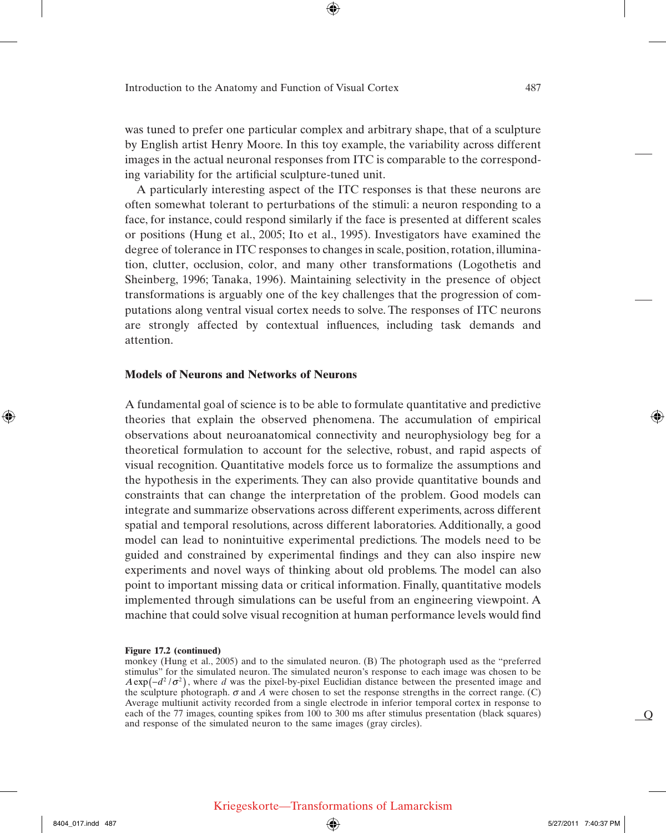was tuned to prefer one particular complex and arbitrary shape, that of a sculpture by English artist Henry Moore. In this toy example, the variability across different images in the actual neuronal responses from ITC is comparable to the corresponding variability for the artificial sculpture-tuned unit.

⊕

A particularly interesting aspect of the ITC responses is that these neurons are often somewhat tolerant to perturbations of the stimuli: a neuron responding to a face, for instance, could respond similarly if the face is presented at different scales or positions (Hung et al., 2005; Ito et al., 1995). Investigators have examined the degree of tolerance in ITC responses to changes in scale, position, rotation, illumination, clutter, occlusion, color, and many other transformations (Logothetis and Sheinberg, 1996; Tanaka, 1996). Maintaining selectivity in the presence of object transformations is arguably one of the key challenges that the progression of computations along ventral visual cortex needs to solve. The responses of ITC neurons are strongly affected by contextual influences, including task demands and attention.

## **Models of Neurons and Networks of Neurons**

A fundamental goal of science is to be able to formulate quantitative and predictive theories that explain the observed phenomena. The accumulation of empirical observations about neuroanatomical connectivity and neurophysiology beg for a theoretical formulation to account for the selective, robust, and rapid aspects of visual recognition. Quantitative models force us to formalize the assumptions and the hypothesis in the experiments. They can also provide quantitative bounds and constraints that can change the interpretation of the problem. Good models can integrate and summarize observations across different experiments, across different spatial and temporal resolutions, across different laboratories. Additionally, a good model can lead to nonintuitive experimental predictions. The models need to be guided and constrained by experimental findings and they can also inspire new experiments and novel ways of thinking about old problems. The model can also point to important missing data or critical information. Finally, quantitative models implemented through simulations can be useful from an engineering viewpoint. A machine that could solve visual recognition at human performance levels would find

#### **Figure 17.2 (continued)**

monkey (Hung et al., 2005) and to the simulated neuron. (B) The photograph used as the "preferred stimulus" for the simulated neuron. The simulated neuron's response to each image was chosen to be  $A \exp(-\frac{d^2}{\sigma^2})$ , where *d* was the pixel-by-pixel Euclidian distance between the presented image and the sculpture photograph.  $\sigma$  and  $A$  were chosen to set the response strengths in the correct range. (C) Average multiunit activity recorded from a single electrode in inferior temporal cortex in response to each of the 77 images, counting spikes from 100 to 300 ms after stimulus presentation (black squares) and response of the simulated neuron to the same images (gray circles).

↔

Q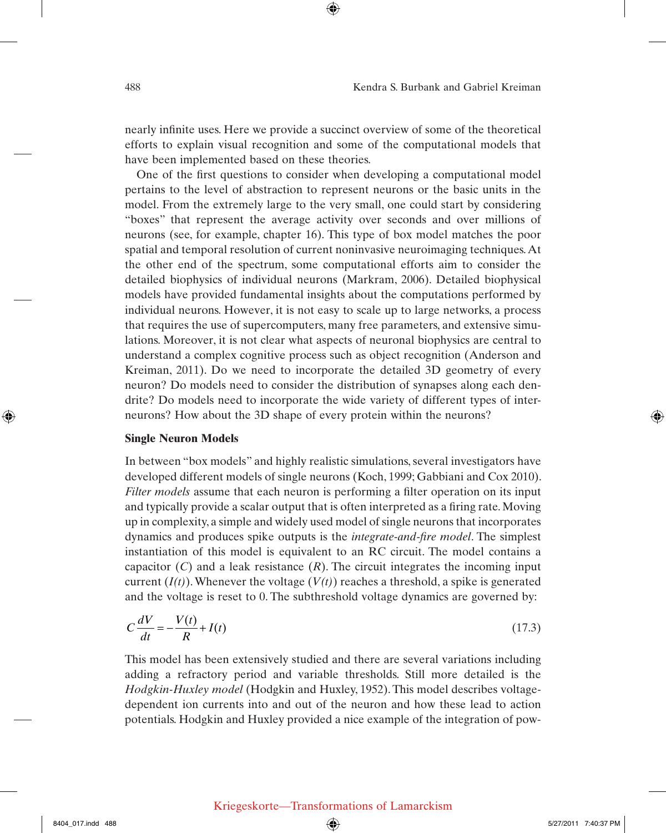nearly infinite uses. Here we provide a succinct overview of some of the theoretical efforts to explain visual recognition and some of the computational models that have been implemented based on these theories.

 $\textcircled{\scriptsize{+}}$ 

One of the first questions to consider when developing a computational model pertains to the level of abstraction to represent neurons or the basic units in the model. From the extremely large to the very small, one could start by considering "boxes" that represent the average activity over seconds and over millions of neurons (see, for example, chapter 16). This type of box model matches the poor spatial and temporal resolution of current noninvasive neuroimaging techniques. At the other end of the spectrum, some computational efforts aim to consider the detailed biophysics of individual neurons (Markram, 2006). Detailed biophysical models have provided fundamental insights about the computations performed by individual neurons. However, it is not easy to scale up to large networks, a process that requires the use of supercomputers, many free parameters, and extensive simulations. Moreover, it is not clear what aspects of neuronal biophysics are central to understand a complex cognitive process such as object recognition (Anderson and Kreiman, 2011). Do we need to incorporate the detailed 3D geometry of every neuron? Do models need to consider the distribution of synapses along each dendrite? Do models need to incorporate the wide variety of different types of interneurons? How about the 3D shape of every protein within the neurons?

## **Single Neuron Models**

In between "box models" and highly realistic simulations, several investigators have developed different models of single neurons (Koch, 1999; Gabbiani and Cox 2010). *Filter models* assume that each neuron is performing a filter operation on its input and typically provide a scalar output that is often interpreted as a firing rate. Moving up in complexity, a simple and widely used model of single neurons that incorporates dynamics and produces spike outputs is the *integrate-and-fire model*. The simplest instantiation of this model is equivalent to an RC circuit. The model contains a capacitor  $(C)$  and a leak resistance  $(R)$ . The circuit integrates the incoming input current  $(I(t))$ . Whenever the voltage  $(V(t))$  reaches a threshold, a spike is generated and the voltage is reset to 0. The subthreshold voltage dynamics are governed by:

$$
C\frac{dV}{dt} = -\frac{V(t)}{R} + I(t)
$$
\n(17.3)

This model has been extensively studied and there are several variations including adding a refractory period and variable thresholds. Still more detailed is the *Hodgkin-Huxley model* (Hodgkin and Huxley, 1952). This model describes voltagedependent ion currents into and out of the neuron and how these lead to action potentials. Hodgkin and Huxley provided a nice example of the integration of pow-

⊕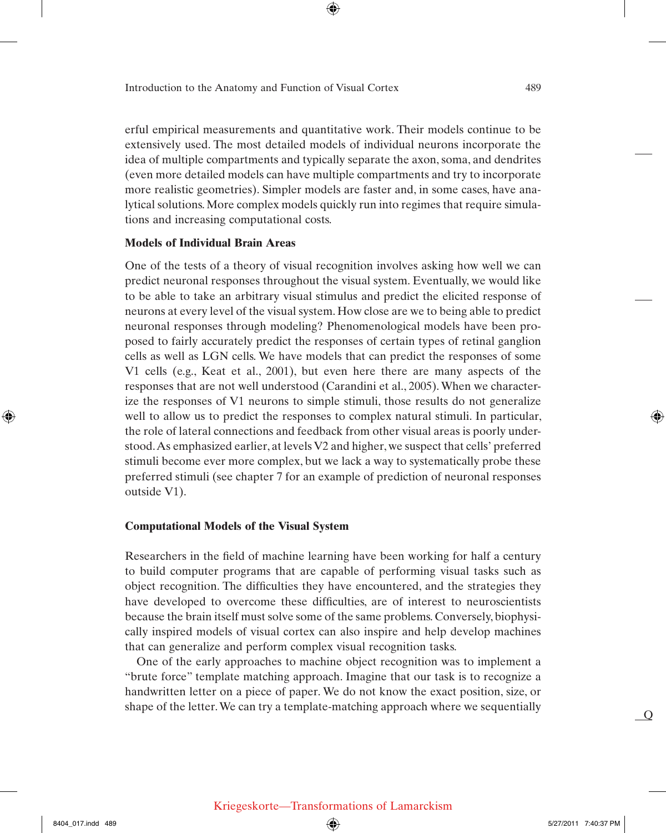erful empirical measurements and quantitative work. Their models continue to be extensively used. The most detailed models of individual neurons incorporate the idea of multiple compartments and typically separate the axon, soma, and dendrites (even more detailed models can have multiple compartments and try to incorporate more realistic geometries). Simpler models are faster and, in some cases, have analytical solutions. More complex models quickly run into regimes that require simulations and increasing computational costs.

⊕

## **Models of Individual Brain Areas**

One of the tests of a theory of visual recognition involves asking how well we can predict neuronal responses throughout the visual system. Eventually, we would like to be able to take an arbitrary visual stimulus and predict the elicited response of neurons at every level of the visual system. How close are we to being able to predict neuronal responses through modeling? Phenomenological models have been proposed to fairly accurately predict the responses of certain types of retinal ganglion cells as well as LGN cells. We have models that can predict the responses of some V1 cells (e.g., Keat et al., 2001), but even here there are many aspects of the responses that are not well understood (Carandini et al., 2005). When we characterize the responses of V1 neurons to simple stimuli, those results do not generalize well to allow us to predict the responses to complex natural stimuli. In particular, the role of lateral connections and feedback from other visual areas is poorly understood. As emphasized earlier, at levels V2 and higher, we suspect that cells' preferred stimuli become ever more complex, but we lack a way to systematically probe these preferred stimuli (see chapter 7 for an example of prediction of neuronal responses outside V1).

## **Computational Models of the Visual System**

Researchers in the field of machine learning have been working for half a century to build computer programs that are capable of performing visual tasks such as object recognition. The difficulties they have encountered, and the strategies they have developed to overcome these difficulties, are of interest to neuroscientists because the brain itself must solve some of the same problems. Conversely, biophysically inspired models of visual cortex can also inspire and help develop machines that can generalize and perform complex visual recognition tasks.

One of the early approaches to machine object recognition was to implement a "brute force" template matching approach. Imagine that our task is to recognize a handwritten letter on a piece of paper. We do not know the exact position, size, or shape of the letter. We can try a template-matching approach where we sequentially

⊕

 $\overline{\mathsf{Q}}$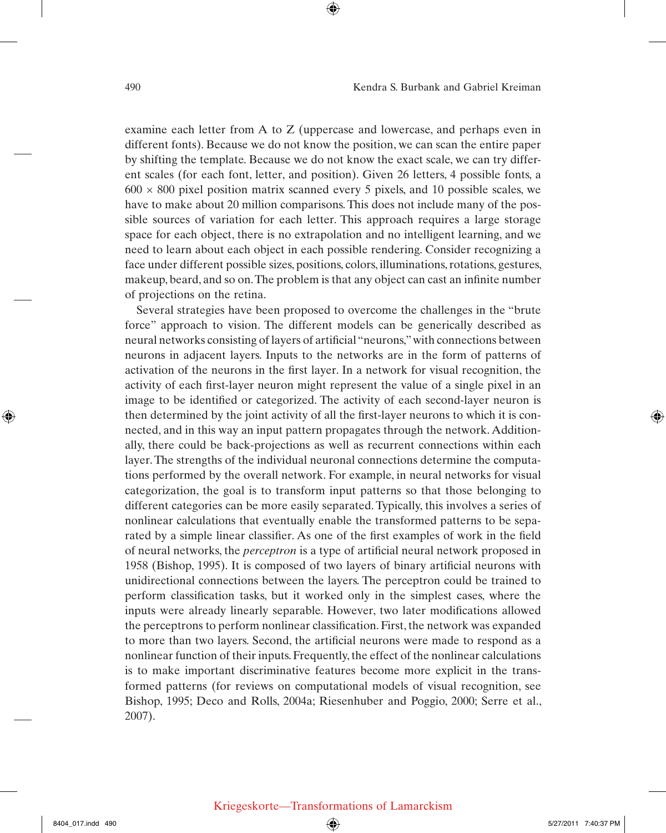examine each letter from A to Z (uppercase and lowercase, and perhaps even in different fonts). Because we do not know the position, we can scan the entire paper by shifting the template. Because we do not know the exact scale, we can try different scales (for each font, letter, and position). Given 26 letters, 4 possible fonts, a  $600 \times 800$  pixel position matrix scanned every 5 pixels, and 10 possible scales, we have to make about 20 million comparisons. This does not include many of the possible sources of variation for each letter. This approach requires a large storage space for each object, there is no extrapolation and no intelligent learning, and we need to learn about each object in each possible rendering. Consider recognizing a face under different possible sizes, positions, colors, illuminations, rotations, gestures, makeup, beard, and so on. The problem is that any object can cast an infinite number of projections on the retina.

 $\textcircled{\scriptsize{+}}$ 

Several strategies have been proposed to overcome the challenges in the "brute force" approach to vision. The different models can be generically described as neural networks consisting of layers of artificial "neurons," with connections between neurons in adjacent layers. Inputs to the networks are in the form of patterns of activation of the neurons in the first layer. In a network for visual recognition, the activity of each first-layer neuron might represent the value of a single pixel in an image to be identified or categorized. The activity of each second-layer neuron is then determined by the joint activity of all the first-layer neurons to which it is connected, and in this way an input pattern propagates through the network. Additionally, there could be back-projections as well as recurrent connections within each layer. The strengths of the individual neuronal connections determine the computations performed by the overall network. For example, in neural networks for visual categorization, the goal is to transform input patterns so that those belonging to different categories can be more easily separated. Typically, this involves a series of nonlinear calculations that eventually enable the transformed patterns to be separated by a simple linear classifier. As one of the first examples of work in the field of neural networks, the *perceptron* is a type of artificial neural network proposed in 1958 (Bishop, 1995). It is composed of two layers of binary artificial neurons with unidirectional connections between the layers. The perceptron could be trained to perform classification tasks, but it worked only in the simplest cases, where the inputs were already linearly separable. However, two later modifications allowed the perceptrons to perform nonlinear classification. First, the network was expanded to more than two layers. Second, the artificial neurons were made to respond as a nonlinear function of their inputs. Frequently, the effect of the nonlinear calculations is to make important discriminative features become more explicit in the transformed patterns (for reviews on computational models of visual recognition, see Bishop, 1995; Deco and Rolls, 2004a; Riesenhuber and Poggio, 2000; Serre et al., 2007).

⊕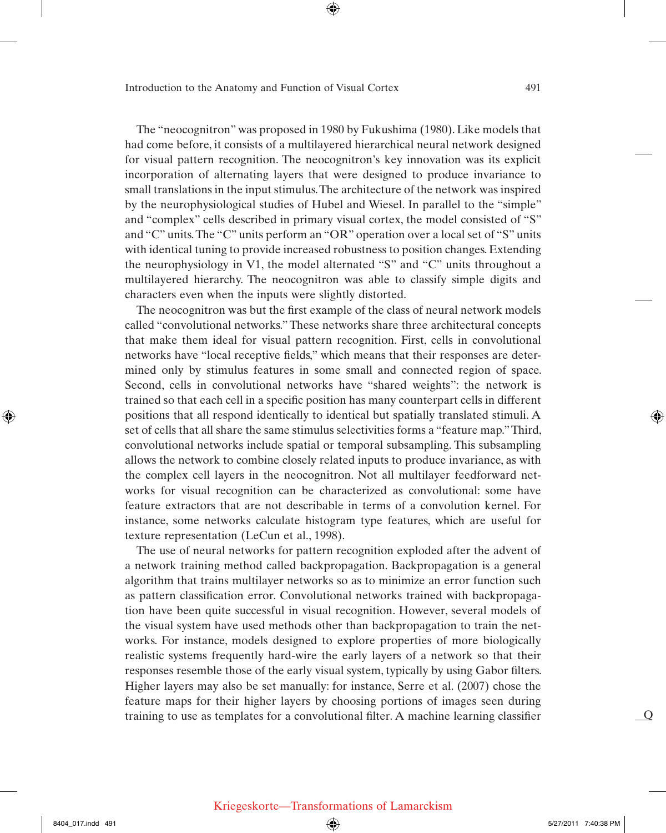The "neocognitron" was proposed in 1980 by Fukushima (1980). Like models that had come before, it consists of a multilayered hierarchical neural network designed for visual pattern recognition. The neocognitron's key innovation was its explicit incorporation of alternating layers that were designed to produce invariance to small translations in the input stimulus. The architecture of the network was inspired by the neurophysiological studies of Hubel and Wiesel. In parallel to the "simple" and "complex" cells described in primary visual cortex, the model consisted of "S" and "C" units. The "C" units perform an "OR" operation over a local set of "S" units with identical tuning to provide increased robustness to position changes. Extending the neurophysiology in V1, the model alternated "S" and "C" units throughout a multilayered hierarchy. The neocognitron was able to classify simple digits and characters even when the inputs were slightly distorted.

 $\textcircled{\scriptsize{+}}$ 

The neocognitron was but the first example of the class of neural network models called "convolutional networks." These networks share three architectural concepts that make them ideal for visual pattern recognition. First, cells in convolutional networks have "local receptive fields," which means that their responses are determined only by stimulus features in some small and connected region of space. Second, cells in convolutional networks have "shared weights": the network is trained so that each cell in a specific position has many counterpart cells in different positions that all respond identically to identical but spatially translated stimuli. A set of cells that all share the same stimulus selectivities forms a "feature map." Third, convolutional networks include spatial or temporal subsampling. This subsampling allows the network to combine closely related inputs to produce invariance, as with the complex cell layers in the neocognitron. Not all multilayer feedforward networks for visual recognition can be characterized as convolutional: some have feature extractors that are not describable in terms of a convolution kernel. For instance, some networks calculate histogram type features, which are useful for texture representation (LeCun et al., 1998).

The use of neural networks for pattern recognition exploded after the advent of a network training method called backpropagation. Backpropagation is a general algorithm that trains multilayer networks so as to minimize an error function such as pattern classification error. Convolutional networks trained with backpropagation have been quite successful in visual recognition. However, several models of the visual system have used methods other than backpropagation to train the networks. For instance, models designed to explore properties of more biologically realistic systems frequently hard-wire the early layers of a network so that their responses resemble those of the early visual system, typically by using Gabor filters. Higher layers may also be set manually: for instance, Serre et al. (2007) chose the feature maps for their higher layers by choosing portions of images seen during training to use as templates for a convolutional filter. A machine learning classifier

⊕

Q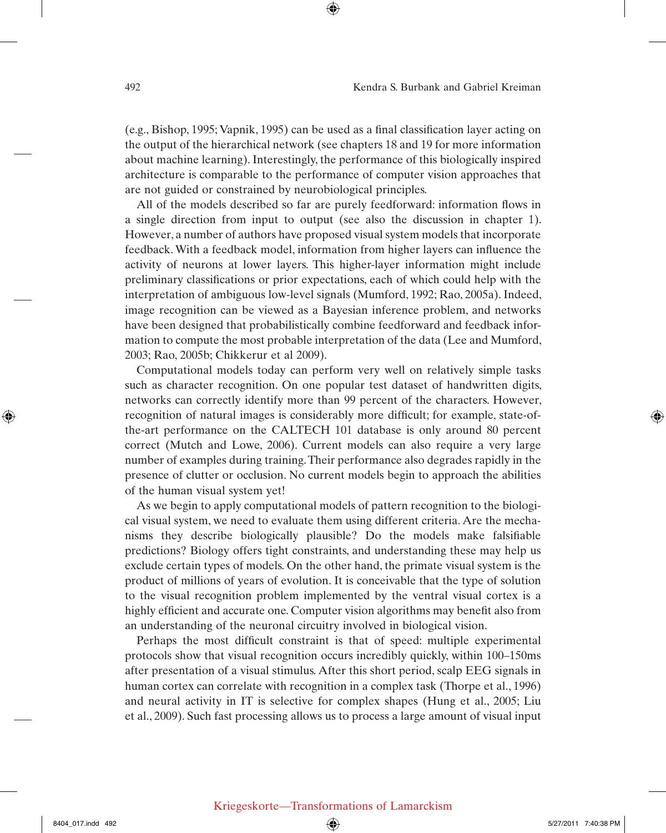(e.g., Bishop, 1995; Vapnik, 1995) can be used as a final classification layer acting on the output of the hierarchical network (see chapters 18 and 19 for more information about machine learning). Interestingly, the performance of this biologically inspired architecture is comparable to the performance of computer vision approaches that are not guided or constrained by neurobiological principles.

⊕

All of the models described so far are purely feedforward: information flows in a single direction from input to output (see also the discussion in chapter 1). However, a number of authors have proposed visual system models that incorporate feedback. With a feedback model, information from higher layers can influence the activity of neurons at lower layers. This higher-layer information might include preliminary classifications or prior expectations, each of which could help with the interpretation of ambiguous low-level signals (Mumford, 1992; Rao, 2005a). Indeed, image recognition can be viewed as a Bayesian inference problem, and networks have been designed that probabilistically combine feedforward and feedback information to compute the most probable interpretation of the data (Lee and Mumford, 2003; Rao, 2005b; Chikkerur et al 2009).

Computational models today can perform very well on relatively simple tasks such as character recognition. On one popular test dataset of handwritten digits, networks can correctly identify more than 99 percent of the characters. However, recognition of natural images is considerably more difficult; for example, state-ofthe-art performance on the CALTECH 101 database is only around 80 percent correct (Mutch and Lowe, 2006). Current models can also require a very large number of examples during training. Their performance also degrades rapidly in the presence of clutter or occlusion. No current models begin to approach the abilities of the human visual system yet!

As we begin to apply computational models of pattern recognition to the biological visual system, we need to evaluate them using different criteria. Are the mechanisms they describe biologically plausible? Do the models make falsifiable predictions? Biology offers tight constraints, and understanding these may help us exclude certain types of models. On the other hand, the primate visual system is the product of millions of years of evolution. It is conceivable that the type of solution to the visual recognition problem implemented by the ventral visual cortex is a highly efficient and accurate one. Computer vision algorithms may benefit also from an understanding of the neuronal circuitry involved in biological vision.

Perhaps the most difficult constraint is that of speed: multiple experimental protocols show that visual recognition occurs incredibly quickly, within 100–150ms after presentation of a visual stimulus. After this short period, scalp EEG signals in human cortex can correlate with recognition in a complex task (Thorpe et al., 1996) and neural activity in IT is selective for complex shapes (Hung et al., 2005; Liu et al., 2009). Such fast processing allows us to process a large amount of visual input

⊕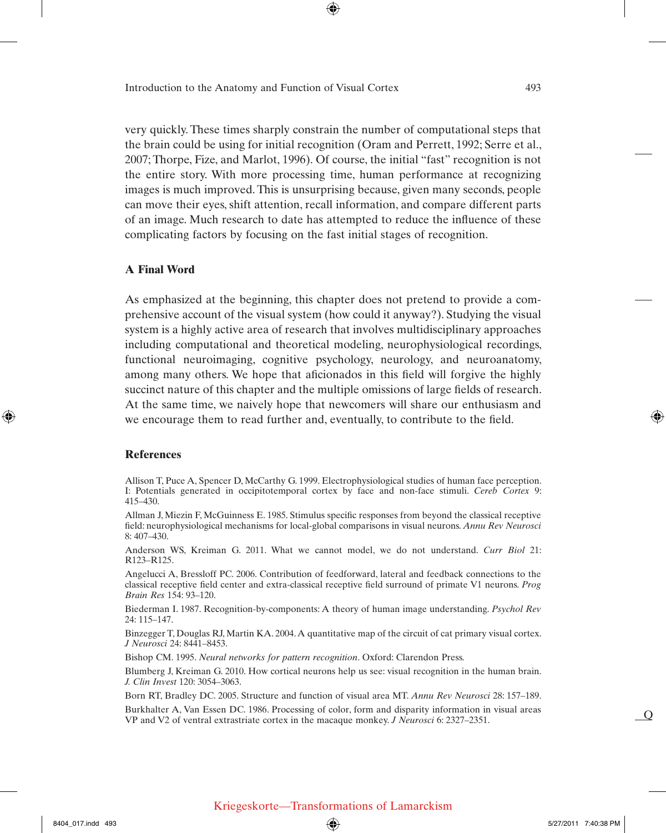very quickly. These times sharply constrain the number of computational steps that the brain could be using for initial recognition (Oram and Perrett, 1992; Serre et al., 2007; Thorpe, Fize, and Marlot, 1996). Of course, the initial "fast" recognition is not the entire story. With more processing time, human performance at recognizing images is much improved. This is unsurprising because, given many seconds, people can move their eyes, shift attention, recall information, and compare different parts of an image. Much research to date has attempted to reduce the influence of these complicating factors by focusing on the fast initial stages of recognition.

⊕

### **A Final Word**

As emphasized at the beginning, this chapter does not pretend to provide a comprehensive account of the visual system (how could it anyway?). Studying the visual system is a highly active area of research that involves multidisciplinary approaches including computational and theoretical modeling, neurophysiological recordings, functional neuroimaging, cognitive psychology, neurology, and neuroanatomy, among many others. We hope that aficionados in this field will forgive the highly succinct nature of this chapter and the multiple omissions of large fields of research. At the same time, we naively hope that newcomers will share our enthusiasm and we encourage them to read further and, eventually, to contribute to the field.

## **References**

⊕

Allison T, Puce A, Spencer D, McCarthy G. 1999. Electrophysiological studies of human face perception. I: Potentials generated in occipitotemporal cortex by face and non-face stimuli. *Cereb Cortex* 9: 415–430.

Allman J, Miezin F, McGuinness E. 1985. Stimulus specific responses from beyond the classical receptive field: neurophysiological mechanisms for local-global comparisons in visual neurons. *Annu Rev Neurosci* 8: 407–430.

Anderson WS, Kreiman G. 2011. What we cannot model, we do not understand. *Curr Biol* 21: R123–R125.

Angelucci A, Bressloff PC. 2006. Contribution of feedforward, lateral and feedback connections to the classical receptive field center and extra-classical receptive field surround of primate V1 neurons. *Prog Brain Res* 154: 93–120.

Biederman I. 1987. Recognition-by-components: A theory of human image understanding. *Psychol Rev* 24: 115–147.

Binzegger T, Douglas RJ, Martin KA. 2004. A quantitative map of the circuit of cat primary visual cortex. *J Neurosci* 24: 8441–8453.

Bishop CM. 1995. *Neural networks for pattern recognition*. Oxford: Clarendon Press.

Blumberg J, Kreiman G. 2010. How cortical neurons help us see: visual recognition in the human brain. *J. Clin Invest* 120: 3054–3063.

Born RT, Bradley DC. 2005. Structure and function of visual area MT. *Annu Rev Neurosci* 28: 157–189.

Burkhalter A, Van Essen DC. 1986. Processing of color, form and disparity information in visual areas VP and V2 of ventral extrastriate cortex in the macaque monkey. *J Neurosci* 6: 2327–2351.

 $\Omega$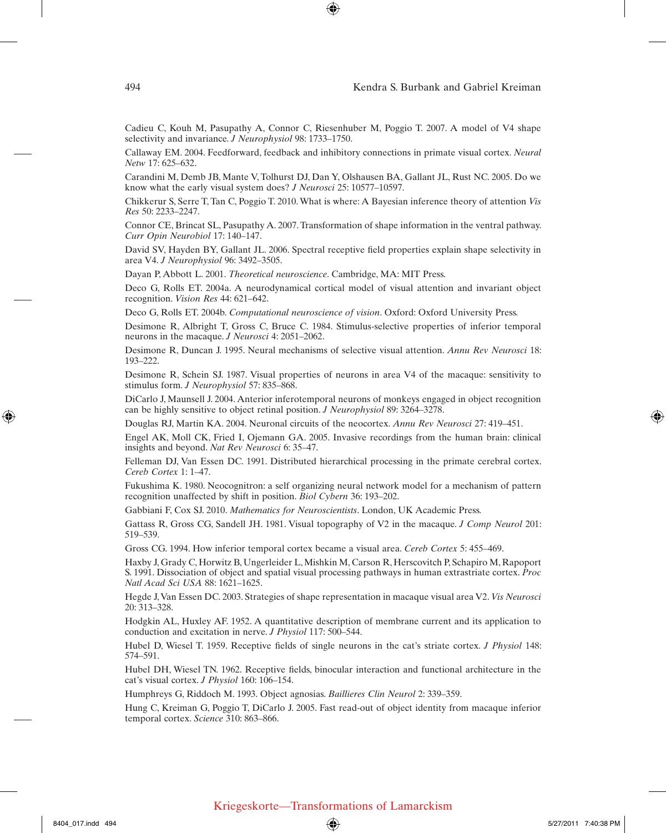Cadieu C, Kouh M, Pasupathy A, Connor C, Riesenhuber M, Poggio T. 2007. A model of V4 shape selectivity and invariance. *J Neurophysiol* 98: 1733–1750.

⊕

Callaway EM. 2004. Feedforward, feedback and inhibitory connections in primate visual cortex. *Neural Netw* 17: 625–632.

Carandini M, Demb JB, Mante V, Tolhurst DJ, Dan Y, Olshausen BA, Gallant JL, Rust NC. 2005. Do we know what the early visual system does? *J Neurosci* 25: 10577–10597.

Chikkerur S, Serre T, Tan C, Poggio T. 2010. What is where: A Bayesian inference theory of attention *Vis Res* 50: 2233–2247.

Connor CE, Brincat SL, Pasupathy A. 2007. Transformation of shape information in the ventral pathway. *Curr Opin Neurobiol* 17: 140–147.

David SV, Hayden BY, Gallant JL. 2006. Spectral receptive field properties explain shape selectivity in area V4. *J Neurophysiol* 96: 3492–3505.

Dayan P, Abbott L. 2001. *Theoretical neuroscience*. Cambridge, MA: MIT Press.

Deco G, Rolls ET. 2004a. A neurodynamical cortical model of visual attention and invariant object recognition. *Vision Res* 44: 621–642.

Deco G, Rolls ET. 2004b. *Computational neuroscience of vision*. Oxford: Oxford University Press.

Desimone R, Albright T, Gross C, Bruce C. 1984. Stimulus-selective properties of inferior temporal neurons in the macaque. *J Neurosci* 4: 2051–2062.

Desimone R, Duncan J. 1995. Neural mechanisms of selective visual attention. *Annu Rev Neurosci* 18: 193–222.

Desimone R, Schein SJ. 1987. Visual properties of neurons in area V4 of the macaque: sensitivity to stimulus form. *J Neurophysiol* 57: 835–868.

DiCarlo J, Maunsell J. 2004. Anterior inferotemporal neurons of monkeys engaged in object recognition can be highly sensitive to object retinal position. *J Neurophysiol* 89: 3264–3278.

Douglas RJ, Martin KA. 2004. Neuronal circuits of the neocortex. *Annu Rev Neurosci* 27: 419–451.

Engel AK, Moll CK, Fried I, Ojemann GA. 2005. Invasive recordings from the human brain: clinical insights and beyond. *Nat Rev Neurosci* 6: 35–47.

Felleman DJ, Van Essen DC. 1991. Distributed hierarchical processing in the primate cerebral cortex. *Cereb Cortex* 1: 1–47.

Fukushima K. 1980. Neocognitron: a self organizing neural network model for a mechanism of pattern recognition unaffected by shift in position. *Biol Cybern* 36: 193–202.

Gabbiani F, Cox SJ. 2010. *Mathematics for Neuroscientists*. London, UK Academic Press.

Gattass R, Gross CG, Sandell JH. 1981. Visual topography of V2 in the macaque. *J Comp Neurol* 201: 519–539.

Gross CG. 1994. How inferior temporal cortex became a visual area. *Cereb Cortex* 5: 455–469.

Haxby J, Grady C, Horwitz B, Ungerleider L, Mishkin M, Carson R, Herscovitch P, Schapiro M, Rapoport S. 1991. Dissociation of object and spatial visual processing pathways in human extrastriate cortex. *Proc Natl Acad Sci USA* 88: 1621–1625.

Hegde J, Van Essen DC. 2003. Strategies of shape representation in macaque visual area V2. *Vis Neurosci* 20: 313–328.

Hodgkin AL, Huxley AF. 1952. A quantitative description of membrane current and its application to conduction and excitation in nerve. *J Physiol* 117: 500–544.

Hubel D, Wiesel T. 1959. Receptive fields of single neurons in the cat's striate cortex. *J Physiol* 148: 574–591.

Hubel DH, Wiesel TN. 1962. Receptive fields, binocular interaction and functional architecture in the cat's visual cortex. *J Physiol* 160: 106–154.

Humphreys G, Riddoch M. 1993. Object agnosias. *Baillieres Clin Neurol* 2: 339–359.

Hung C, Kreiman G, Poggio T, DiCarlo J. 2005. Fast read-out of object identity from macaque inferior temporal cortex. *Science* 310: 863–866.

↔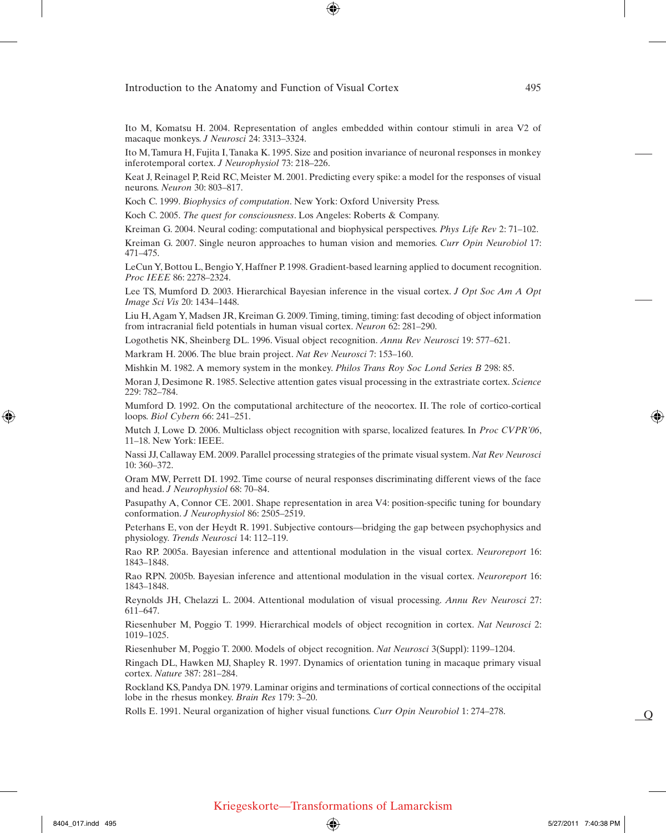Ito M, Komatsu H. 2004. Representation of angles embedded within contour stimuli in area V2 of macaque monkeys. *J Neurosci* 24: 3313–3324.

⊕

Ito M, Tamura H, Fujita I, Tanaka K. 1995. Size and position invariance of neuronal responses in monkey inferotemporal cortex. *J Neurophysiol* 73: 218–226.

Keat J, Reinagel P, Reid RC, Meister M. 2001. Predicting every spike: a model for the responses of visual neurons. *Neuron* 30: 803–817.

Koch C. 1999. *Biophysics of computation*. New York: Oxford University Press.

Koch C. 2005. *The quest for consciousness*. Los Angeles: Roberts & Company.

Kreiman G. 2004. Neural coding: computational and biophysical perspectives. *Phys Life Rev* 2: 71–102.

Kreiman G. 2007. Single neuron approaches to human vision and memories. *Curr Opin Neurobiol* 17: 471–475.

LeCun Y, Bottou L, Bengio Y, Haffner P. 1998. Gradient-based learning applied to document recognition. *Proc IEEE* 86: 2278–2324.

Lee TS, Mumford D. 2003. Hierarchical Bayesian inference in the visual cortex. *J Opt Soc Am A Opt Image Sci Vis* 20: 1434–1448.

Liu H, Agam Y, Madsen JR, Kreiman G. 2009. Timing, timing, timing: fast decoding of object information from intracranial field potentials in human visual cortex. *Neuron* 62: 281–290.

Logothetis NK, Sheinberg DL. 1996. Visual object recognition. *Annu Rev Neurosci* 19: 577–621.

Markram H. 2006. The blue brain project. *Nat Rev Neurosci* 7: 153–160.

Mishkin M. 1982. A memory system in the monkey. *Philos Trans Roy Soc Lond Series B* 298: 85.

Moran J, Desimone R. 1985. Selective attention gates visual processing in the extrastriate cortex. *Science* 229: 782–784.

Mumford D. 1992. On the computational architecture of the neocortex. II. The role of cortico-cortical loops. *Biol Cybern* 66: 241–251.

Mutch J, Lowe D. 2006. Multiclass object recognition with sparse, localized features. In *Proc CVPR'06*, 11–18. New York: IEEE.

Nassi JJ, Callaway EM. 2009. Parallel processing strategies of the primate visual system. *Nat Rev Neurosci* 10: 360–372.

Oram MW, Perrett DI. 1992. Time course of neural responses discriminating different views of the face and head. *J Neurophysiol* 68: 70–84.

Pasupathy A, Connor CE. 2001. Shape representation in area V4: position-specific tuning for boundary conformation. *J Neurophysiol* 86: 2505–2519.

Peterhans E, von der Heydt R. 1991. Subjective contours—bridging the gap between psychophysics and physiology. *Trends Neurosci* 14: 112–119.

Rao RP. 2005a. Bayesian inference and attentional modulation in the visual cortex. *Neuroreport* 16: 1843–1848.

Rao RPN. 2005b. Bayesian inference and attentional modulation in the visual cortex. *Neuroreport* 16: 1843–1848.

Reynolds JH, Chelazzi L. 2004. Attentional modulation of visual processing. *Annu Rev Neurosci* 27: 611–647.

Riesenhuber M, Poggio T. 1999. Hierarchical models of object recognition in cortex. *Nat Neurosci* 2: 1019–1025.

Riesenhuber M, Poggio T. 2000. Models of object recognition. *Nat Neurosci* 3(Suppl): 1199–1204.

Ringach DL, Hawken MJ, Shapley R. 1997. Dynamics of orientation tuning in macaque primary visual cortex. *Nature* 387: 281–284.

Rockland KS, Pandya DN. 1979. Laminar origins and terminations of cortical connections of the occipital lobe in the rhesus monkey. *Brain Res* 179: 3–20.

Rolls E. 1991. Neural organization of higher visual functions. *Curr Opin Neurobiol* 1: 274–278.

⊕